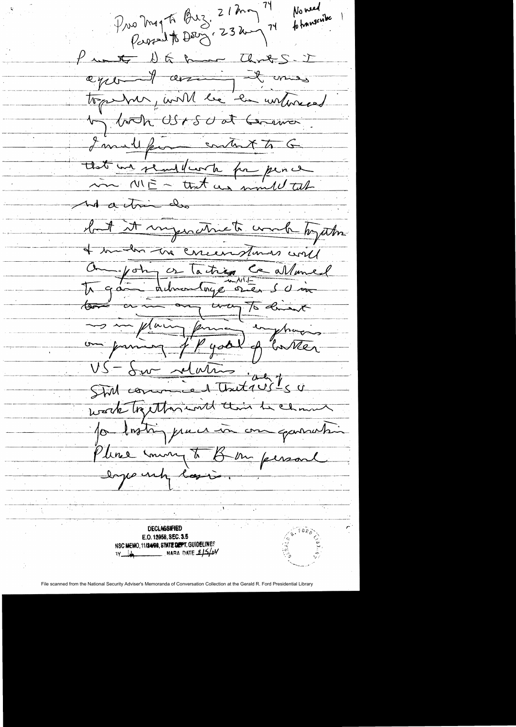$P_{\mu\nu}$  a mag to Buz. 21 mg 74<br> $P_{\mu\nu}$  and to Dec  $\left(23 \text{ km}\right)^{74}$ No need formuseube Pretty DG Band Chris - I ager I arring it mes togent par faith le la unturned by both USISU at Cerman I mult from content to G that we readfunction for perce And a trim do but it ingentivete work together I mustre the corremptions will Om john or Tactrice Ce allaned mon principal de botter VS - Sur relations in 150 Still comme werk together with their the channel portriguer in one garnetin Pline mong to Bon persone loyer up lasio.  $~\cdot$   $~\cdot$   $~\cdot$   $~\cdot$   $~\cdot$   $~\cdot$   $~\cdot$   $~\cdot$   $~\cdot$   $~\cdot$   $~\cdot$   $~\cdot$   $~\cdot$   $~\cdot$   $~\cdot$   $~\cdot$   $~\cdot$   $~\cdot$   $~\cdot$   $~\cdot$   $~\cdot$   $~\cdot$   $~\cdot$   $~\cdot$   $~\cdot$   $~\cdot$   $~\cdot$   $~\cdot$   $~\cdot$   $~\cdot$   $~\cdot$   $~\cdot$   $~\cdot$   $~\cdot$   $~\cdot$   $~\cdot$   $~\cdot$ . ------.-~-- ~~---~----~- --~- - --'--  $\frac{1}{\sqrt{1-\frac{1}{2}}}\left\{ \frac{1}{\sqrt{1-\frac{1}{2}}}\right\}$ .<br>. "<br>. - -----~- ------ .. .. ~--------------~--. DECLASSIFIED r **E.O. U958, SEC. 3.6 NSC MEMO, 11/24/98, STATE DEPT. GUIDELINES WARA** DATE \$15/04 File scanned from the National Security Adviser's Memoranda of Conversation Collection at the Gerald R. Ford Presidential Library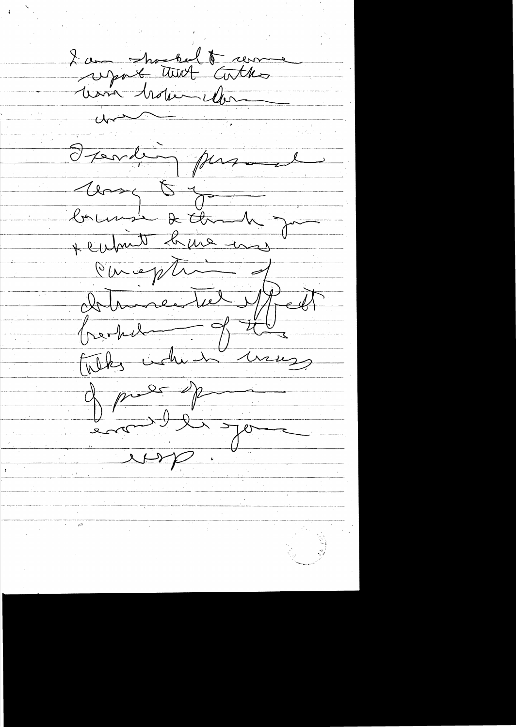2 avec the tout  $t$  Con Ferdin pas Compt of + cubin  $\frac{1}{\sqrt{1-\frac{1}{1-\frac{1}{1-\frac{1}{1-\frac{1}{1-\frac{1}{1-\frac{1}{1-\frac{1}{1-\frac{1}{1-\frac{1}{1-\frac{1}{1-\frac{1}{1-\frac{1}{1-\frac{1}{1-\frac{1}{1-\frac{1}{1-\frac{1}{1-\frac{1}{1-\frac{1}{1-\frac{1}{1-\frac{1}{1-\frac{1}{1-\frac{1}{1-\frac{1}{1-\frac{1}{1-\frac{1}{1-\frac{1}{1-\frac{1}{1-\frac{1}{1-\frac{1}{1-\frac{1}{1-\frac{1}{1-\frac{1}{1-\frac{1}{1-\frac{1}{1-\frac{1}{1-\$  $\prec$ Oureple  $\overline{\mathcal{A}}$ Dolmeentrel  $\sqrt{\frac{2}{127}}$ Telks when h  $\frac{1}{\sqrt{1-\frac{1}{1-\frac{1}{1-\frac{1}{1-\frac{1}{1-\frac{1}{1-\frac{1}{1-\frac{1}{1-\frac{1}{1-\frac{1}{1-\frac{1}{1-\frac{1}{1-\frac{1}{1-\frac{1}{1-\frac{1}{1-\frac{1}{1-\frac{1}{1-\frac{1}{1-\frac{1}{1-\frac{1}{1-\frac{1}{1-\frac{1}{1-\frac{1}{1-\frac{1}{1-\frac{1}{1-\frac{1}{1-\frac{1}{1-\frac{1}{1-\frac{1}{1-\frac{1}{1-\frac{1}{1-\frac{1}{1-\frac{1}{1-\frac{1}{1-\frac{1}{1-\frac{1}{1-\$  $\frac{1}{2}$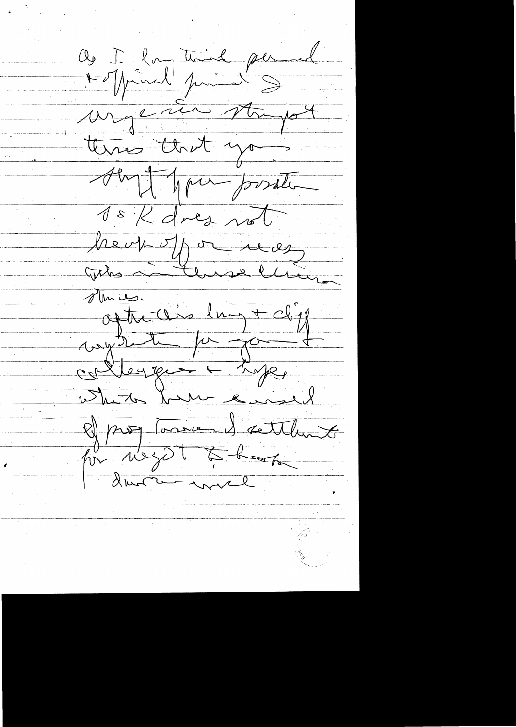$Q_9 \frac{1}{\sqrt{1-\frac{2}{\sqrt{1-\frac{2}{\sqrt{1-\frac{2}{\sqrt{1-\frac{2}{\sqrt{1-\frac{2}{\sqrt{1-\frac{2}{\sqrt{1-\frac{2}{\sqrt{1-\frac{2}{\sqrt{1-\frac{2}{\sqrt{1-\frac{2}{\sqrt{1-\frac{2}{\sqrt{1-\frac{2}{\sqrt{1-\frac{2}{\sqrt{1-\frac{2}{\sqrt{1-\frac{2}{\sqrt{1-\frac{2}{\sqrt{1-\frac{2}{\sqrt{1-\frac{2}{\sqrt{1-\frac{2}{\sqrt{1-\frac{2}{\sqrt{1-\frac{2}{\sqrt{1-\frac{2}{\sqrt{1-\frac{2}{\sqrt{1-\$ Notprinct primed  $\frac{1}{\sqrt{2}}$  $M_{\rm H}$  c  $\mu$ three that you Aby Man possite 1 s K dres no heup of a us Who and use lhu ofthe this lay + cliff  $\frac{1}{\sqrt{2\pi}}\int\frac{dx}{y}$ wryn Deyges + hype Ruisel 2) programmed settlement Le me